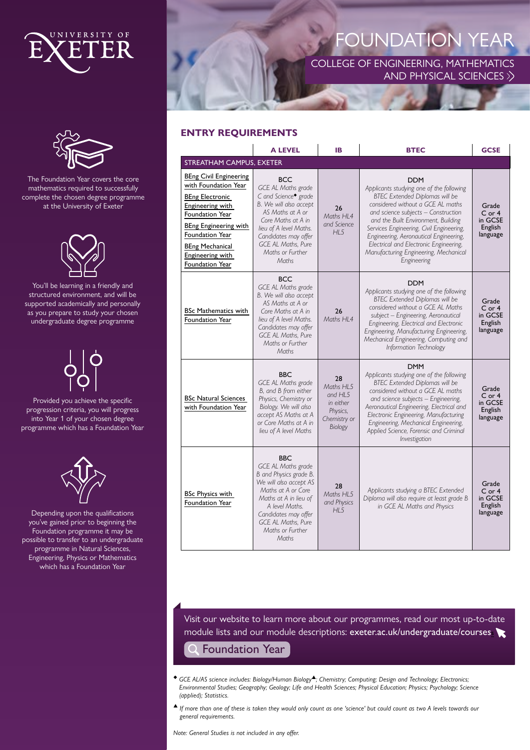



The Foundation Year covers the core mathematics required to successfully complete the chosen degree programme at the University of Exeter



You'll be learning in a friendly and structured environment, and will be supported academically and personally as you prepare to study your chosen undergraduate degree programme

Provided you achieve the specific progression criteria, you will progress into Year 1 of your chosen degree programme which has a Foundation Year



Depending upon the qualifications you've gained prior to beginning the Foundation programme it may be possible to transfer to an undergraduate programme in Natural Sciences, Engineering, Physics or Mathematics which has a Foundation Year

# FOUNDATION YEAR

COLLEGE OF ENGINEERING, MATHEMATICS AND PHYSICAL SCIENCES  $\gg$ 

# **ENTRY REQUIREMENTS**

|                                                                                                                                                                                                                                     | <b>A LEVEL</b>                                                                                                                                                                                                                                              | IB                                                                             | <b>BTEC</b>                                                                                                                                                                                                                                                                                                                                                                                                | <b>GCSE</b>                                           |
|-------------------------------------------------------------------------------------------------------------------------------------------------------------------------------------------------------------------------------------|-------------------------------------------------------------------------------------------------------------------------------------------------------------------------------------------------------------------------------------------------------------|--------------------------------------------------------------------------------|------------------------------------------------------------------------------------------------------------------------------------------------------------------------------------------------------------------------------------------------------------------------------------------------------------------------------------------------------------------------------------------------------------|-------------------------------------------------------|
| <b>STREATHAM CAMPUS, EXETER</b>                                                                                                                                                                                                     |                                                                                                                                                                                                                                                             |                                                                                |                                                                                                                                                                                                                                                                                                                                                                                                            |                                                       |
| <b>BEng Civil Engineering</b><br>with Foundation Year<br><b>BEng Electronic</b><br>Engineering with<br>Foundation Year<br>BEng Engineering with<br>Foundation Year<br><b>BEng Mechanical</b><br>Engineering with<br>Foundation Year | <b>BCC</b><br><b>GCE AL Maths grade</b><br>C and Science <sup>•</sup> grade<br>B. We will also accept<br>AS Maths at A or<br>Core Maths at A in<br>lieu of A level Maths.<br>Candidates may offer<br><b>GCE AL Maths. Pure</b><br>Maths or Further<br>Maths | 26<br>Maths HI 4<br>and Science<br>HI <sub>5</sub>                             | <b>DDM</b><br>Applicants studying one of the following<br><b>BTEC Extended Diplomas will be</b><br>considered without a GCE AL maths<br>and science subjects - Construction<br>and the Built Environment, Building<br>Services Engineering, Civil Engineering,<br>Engineering, Aeronautical Engineering,<br>Electrical and Electronic Engineering,<br>Manufacturing Engineering, Mechanical<br>Engineering | Grade<br>$C$ or 4<br>in GCSE<br>English<br>language   |
| <b>BSc Mathematics with</b><br>Foundation Year                                                                                                                                                                                      | <b>BCC</b><br><b>GCE AL Maths grade</b><br>B. We will also accept<br>AS Maths at A or<br>Core Maths at A in<br>lieu of A level Maths.<br>Candidates may offer<br><b>GCE AL Maths. Pure</b><br>Maths or Further<br>Maths                                     | 26<br>Maths HL4                                                                | <b>DDM</b><br>Applicants studying one of the following<br><b>BTEC Extended Diplomas will be</b><br>considered without a GCE AL Maths<br>subject - Engineering, Aeronautical<br>Engineering, Electrical and Electronic<br>Engineering, Manufacturing Engineering,<br>Mechanical Engineering, Computing and<br>Information Technology                                                                        | Grade<br>$C$ or 4<br>in GCSE<br>English<br>language   |
| <b>BSc Natural Sciences</b><br>with Foundation Year                                                                                                                                                                                 | <b>BBC</b><br><b>GCE AL Maths grade</b><br>B, and B from either<br>Physics, Chemistry or<br>Biology. We will also<br>accept AS Maths at A<br>or Core Maths at A in<br>lieu of A level Maths                                                                 | 28<br>Maths HL5<br>and HL5<br>in either<br>Physics,<br>Chemistry or<br>Biology | <b>DMM</b><br>Applicants studying one of the following<br><b>BTEC Extended Diplomas will be</b><br>considered without a GCE AL maths<br>and science subjects - Engineering,<br>Aeronautical Engineering, Electrical and<br>Electronic Engineering, Manufacturing<br>Engineering, Mechanical Engineering,<br>Applied Science, Forensic and Criminal<br>Investigation                                        | Grade<br>$C$ or $4$<br>in GCSE<br>English<br>language |
| <b>BSc Physics with</b><br>Foundation Year                                                                                                                                                                                          | <b>BBC</b><br>GCE AL Maths grade<br>B and Physics grade B.<br>We will also accept AS<br>Maths at A or Core<br>Maths at A in lieu of<br>A level Maths.<br>Candidates may offer<br><b>GCE AL Maths, Pure</b><br>Maths or Further<br>Maths                     | 28<br>Maths HL5<br>and Physics<br>HL5                                          | Applicants studying a BTEC Extended<br>Diploma will also require at least grade B<br>in GCE AL Maths and Physics                                                                                                                                                                                                                                                                                           | Grade<br>$C$ or 4<br>in GCSE<br>English<br>language   |

Visit our website to learn more about our programmes, read our most up-to-date module lists and our module descriptions: exeter.ac.uk/undergraduate/courses

# Foundation Year

- ◆ *GCE AL/AS science includes: Biology/Human Biology*▲*; Chemistry; Computing; Design and Technology; Electronics; Environmental Studies; Geography; Geology; Life and Health Sciences; Physical Education; Physics; Psychology; Science (applied); Statistics.*
- ▲ *If more than one of these is taken they would only count as one 'science' but could count as two A levels towards our general requirements.*

*Note: General Studies is not included in any offer.*